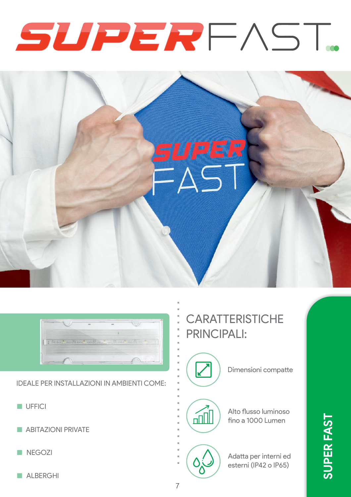





IDEALE PER INSTALLAZIONI IN AMBIENTI COME:

- UFFICI
- ABITAZIONI PRIVATE
- NEGOZI
- ALBERGHI

## **CARATTERISTICHE** PRINCIPALI:

Dimensioni compatte

# $\sqrt{m}$

Alto flusso luminoso fino a 1000 Lumen

Adatta per interni ed esterni (IP42 o IP65)

**SUPER FAST**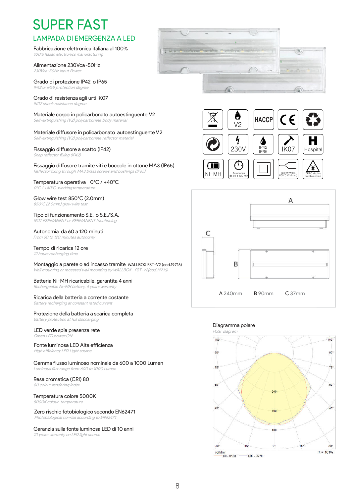## SUPER FAST LAMPADA DI EMERGENZA A LED

## Fabbricazione elettronica italiana al 100%

100% Italian electronics manufacturing

Alimentazione 230Vca-50Hz 230Vca-50Hz input Power

Grado di protezione IP42 o IP65 IP42 or IP65 p rotection degree

#### Grado di resistenza agli urti IK07

IK07 shock resistance degree

#### Materiale corpo in policarbonato autoestinguente V2

Self-extinguishing (V2) polycarbonate body material

#### Materiale diffusore in policarbonato autoestinguente V2 Self-extinguishing (V2) polycarbonate reflector material

#### Fissaggio diffusore a scatto (IP42)

Snap reflector fixing (IP42)

#### Fissaggio diffusore tramite viti e boccole in ottone MA3 (IP65) Reflector fixing through MA3 brass screws and bushings (IP65)

#### Temperatura operativa 0°C / +40°C 0°C / +40°C working temperature

### Glow wire test 850°C (2.0mm)

850°C (2.0mm) glow wire test

#### Tipo di funzionamento S.E. o S.E./S.A.

NOT PERMANENT or PERMANENT functioning

#### Autonomia da 60 a 120 minuti

From 60 to 120 minutes autonomy

#### Tempo di ricarica 12 ore 12 hours recharging time

Montaggio a parete o ad incasso tramite WALLBOX FST-V2 (cod.19716) Wall mounting or recessed wall mounting by WALLBOX FST-V2(cod.19716)

#### Batteria Ni-MH ricaricabile, garantita 4 anni

Rechargeable Ni-MH battery, 4 years warranty

#### Ricarica della batteria a corrente costante

Battery recharging at constant rated current

#### Protezione della batteria a scarica completa Battery protection at full discharging

#### LED verde spia presenza rete Green LED power ON

#### Fonte luminosa LED Alta efficienza

High efficiency LED Light source

#### Gamma flusso luminoso nominale da 600 a 1000 Lumen Luminous flux range from 600 to 1000 Lumen

#### Resa cromatica (CRI) 80

80 colour rendering index

#### Temperatura colore 5000K

5000K colour temperature

#### Zero rischio fotobiologico secondo EN62471 Photobiological no-risk according to EN62471

#### Garanzia sulla fonte luminosa LED di 10 anni

10 years warranty on LED light source







#### Diagramma polare